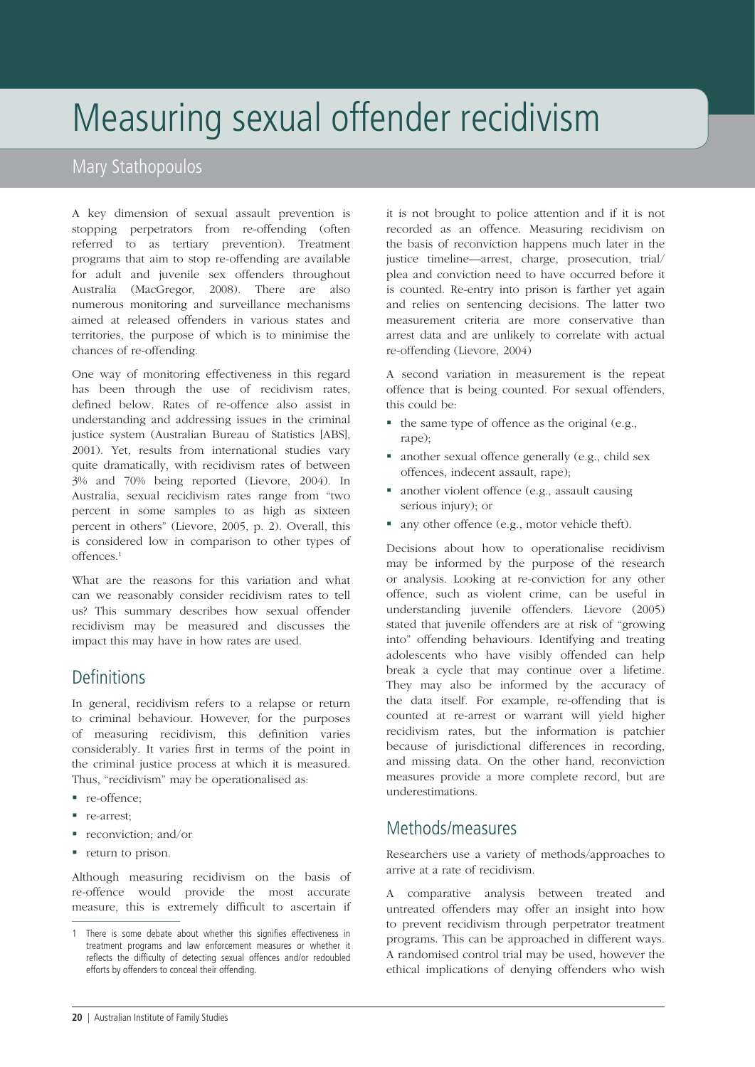# Measuring sexual offender recidivism

### Mary Stathopoulos

A key dimension of sexual assault prevention is stopping perpetrators from re-offending (often referred to as tertiary prevention). Treatment programs that aim to stop re-offending are available for adult and juvenile sex offenders throughout Australia (MacGregor, 2008). There are also numerous monitoring and surveillance mechanisms aimed at released offenders in various states and territories, the purpose of which is to minimise the chances of re-offending.

One way of monitoring effectiveness in this regard has been through the use of recidivism rates, defined below. Rates of re-offence also assist in understanding and addressing issues in the criminal justice system (Australian Bureau of Statistics [ABS], 2001). Yet, results from international studies vary quite dramatically, with recidivism rates of between 3% and 70% being reported (Lievore, 2004). In Australia, sexual recidivism rates range from "two percent in some samples to as high as sixteen percent in others" (Lievore, 2005, p. 2). Overall, this is considered low in comparison to other types of offences.1

What are the reasons for this variation and what can we reasonably consider recidivism rates to tell us? This summary describes how sexual offender recidivism may be measured and discusses the impact this may have in how rates are used.

### **Definitions**

In general, recidivism refers to a relapse or return to criminal behaviour. However, for the purposes of measuring recidivism, this definition varies considerably. It varies first in terms of the point in the criminal justice process at which it is measured. Thus, "recidivism" may be operationalised as:

- re-offence;
- **re-arrest:**
- reconviction; and/or
- **return to prison.**

Although measuring recidivism on the basis of re-offence would provide the most accurate measure, this is extremely difficult to ascertain if it is not brought to police attention and if it is not recorded as an offence. Measuring recidivism on the basis of reconviction happens much later in the justice timeline—arrest, charge, prosecution, trial/ plea and conviction need to have occurred before it is counted. Re-entry into prison is farther yet again and relies on sentencing decisions. The latter two measurement criteria are more conservative than arrest data and are unlikely to correlate with actual re-offending (Lievore, 2004)

A second variation in measurement is the repeat offence that is being counted. For sexual offenders, this could be:

- $\blacksquare$  the same type of offence as the original (e.g., rape);
- another sexual offence generally (e.g., child sex offences, indecent assault, rape);
- another violent offence (e.g., assault causing serious injury); or
- any other offence (e.g., motor vehicle theft).

Decisions about how to operationalise recidivism may be informed by the purpose of the research or analysis. Looking at re-conviction for any other offence, such as violent crime, can be useful in understanding juvenile offenders. Lievore (2005) stated that juvenile offenders are at risk of "growing into" offending behaviours. Identifying and treating adolescents who have visibly offended can help break a cycle that may continue over a lifetime. They may also be informed by the accuracy of the data itself. For example, re-offending that is counted at re-arrest or warrant will yield higher recidivism rates, but the information is patchier because of jurisdictional differences in recording, and missing data. On the other hand, reconviction measures provide a more complete record, but are underestimations.

#### Methods/measures

Researchers use a variety of methods/approaches to arrive at a rate of recidivism.

A comparative analysis between treated and untreated offenders may offer an insight into how to prevent recidivism through perpetrator treatment programs. This can be approached in different ways. A randomised control trial may be used, however the ethical implications of denying offenders who wish

<sup>1</sup> There is some debate about whether this signifies effectiveness in treatment programs and law enforcement measures or whether it reflects the difficulty of detecting sexual offences and/or redoubled efforts by offenders to conceal their offending.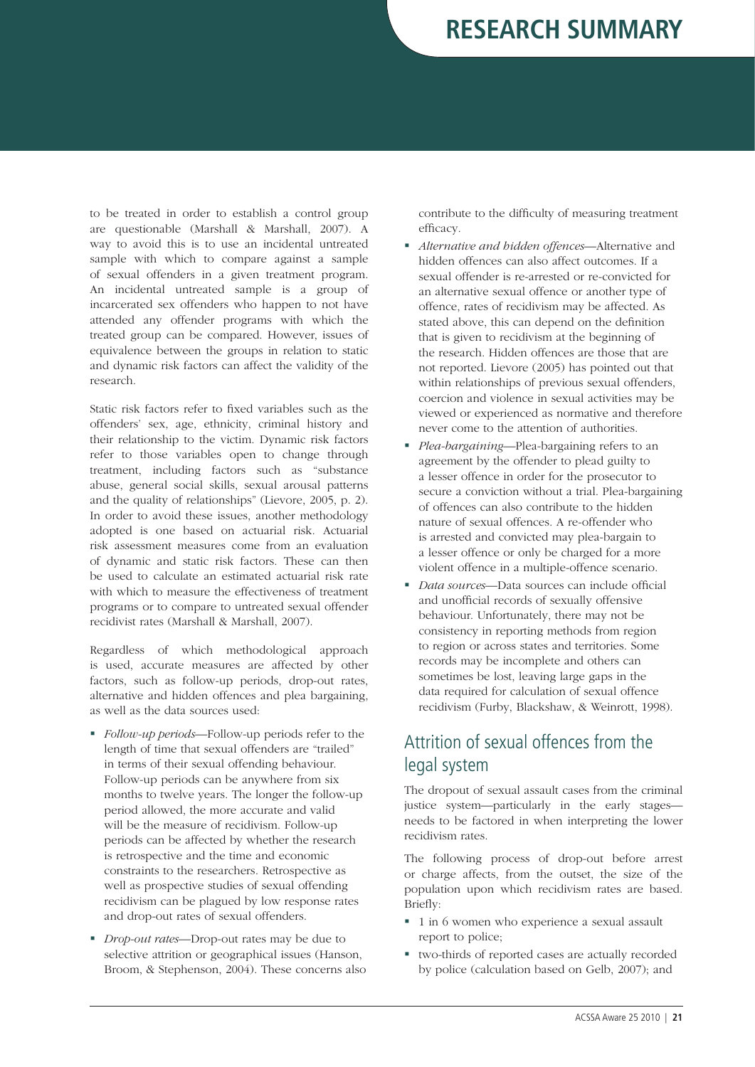## **Research summary**

to be treated in order to establish a control group are questionable (Marshall & Marshall, 2007). A way to avoid this is to use an incidental untreated sample with which to compare against a sample of sexual offenders in a given treatment program. An incidental untreated sample is a group of incarcerated sex offenders who happen to not have attended any offender programs with which the treated group can be compared. However, issues of equivalence between the groups in relation to static and dynamic risk factors can affect the validity of the research.

Static risk factors refer to fixed variables such as the offenders' sex, age, ethnicity, criminal history and their relationship to the victim. Dynamic risk factors refer to those variables open to change through treatment, including factors such as "substance abuse, general social skills, sexual arousal patterns and the quality of relationships" (Lievore, 2005, p. 2). In order to avoid these issues, another methodology adopted is one based on actuarial risk. Actuarial risk assessment measures come from an evaluation of dynamic and static risk factors. These can then be used to calculate an estimated actuarial risk rate with which to measure the effectiveness of treatment programs or to compare to untreated sexual offender recidivist rates (Marshall & Marshall, 2007).

Regardless of which methodological approach is used, accurate measures are affected by other factors, such as follow-up periods, drop-out rates, alternative and hidden offences and plea bargaining, as well as the data sources used:

- *Follow-up periods*—Follow-up periods refer to the length of time that sexual offenders are "trailed" in terms of their sexual offending behaviour. Follow-up periods can be anywhere from six months to twelve years. The longer the follow-up period allowed, the more accurate and valid will be the measure of recidivism. Follow-up periods can be affected by whether the research is retrospective and the time and economic constraints to the researchers. Retrospective as well as prospective studies of sexual offending recidivism can be plagued by low response rates and drop-out rates of sexual offenders.
- *Drop-out rates*—Drop-out rates may be due to selective attrition or geographical issues (Hanson, Broom, & Stephenson, 2004). These concerns also

contribute to the difficulty of measuring treatment efficacy.

- *Alternative and hidden offences*—Alternative and hidden offences can also affect outcomes. If a sexual offender is re-arrested or re-convicted for an alternative sexual offence or another type of offence, rates of recidivism may be affected. As stated above, this can depend on the definition that is given to recidivism at the beginning of the research. Hidden offences are those that are not reported. Lievore (2005) has pointed out that within relationships of previous sexual offenders, coercion and violence in sexual activities may be viewed or experienced as normative and therefore never come to the attention of authorities.
- *Plea-bargaining*—Plea-bargaining refers to an agreement by the offender to plead guilty to a lesser offence in order for the prosecutor to secure a conviction without a trial. Plea-bargaining of offences can also contribute to the hidden nature of sexual offences. A re-offender who is arrested and convicted may plea-bargain to a lesser offence or only be charged for a more violent offence in a multiple-offence scenario.
- *Data sources*—Data sources can include official and unofficial records of sexually offensive behaviour. Unfortunately, there may not be consistency in reporting methods from region to region or across states and territories. Some records may be incomplete and others can sometimes be lost, leaving large gaps in the data required for calculation of sexual offence recidivism (Furby, Blackshaw, & Weinrott, 1998).

## Attrition of sexual offences from the legal system

The dropout of sexual assault cases from the criminal justice system—particularly in the early stages needs to be factored in when interpreting the lower recidivism rates.

The following process of drop-out before arrest or charge affects, from the outset, the size of the population upon which recidivism rates are based. Briefly:

- 1 in 6 women who experience a sexual assault report to police;
- two-thirds of reported cases are actually recorded by police (calculation based on Gelb, 2007); and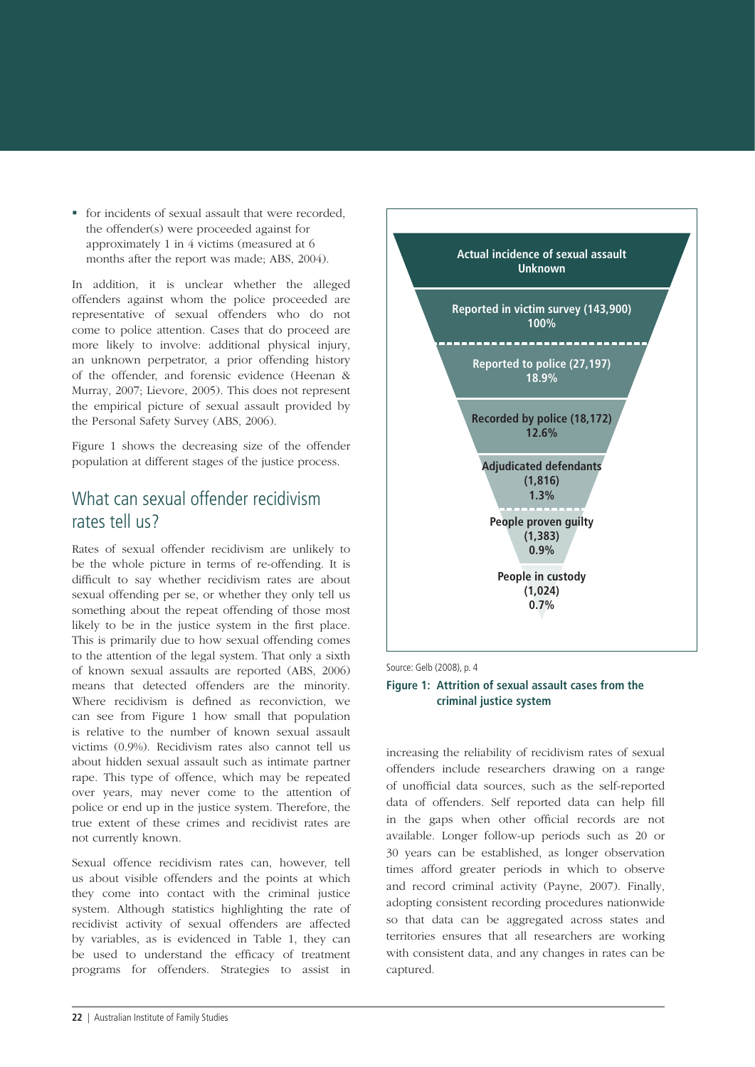for incidents of sexual assault that were recorded, the offender(s) were proceeded against for approximately 1 in 4 victims (measured at 6 months after the report was made; ABS, 2004).

In addition, it is unclear whether the alleged offenders against whom the police proceeded are representative of sexual offenders who do not come to police attention. Cases that do proceed are more likely to involve: additional physical injury, an unknown perpetrator, a prior offending history of the offender, and forensic evidence (Heenan & Murray, 2007; Lievore, 2005). This does not represent the empirical picture of sexual assault provided by the Personal Safety Survey (ABS, 2006).

Figure 1 shows the decreasing size of the offender population at different stages of the justice process.

#### What can sexual offender recidivism rates tell us?

Rates of sexual offender recidivism are unlikely to be the whole picture in terms of re-offending. It is difficult to say whether recidivism rates are about sexual offending per se, or whether they only tell us something about the repeat offending of those most likely to be in the justice system in the first place. This is primarily due to how sexual offending comes to the attention of the legal system. That only a sixth of known sexual assaults are reported (ABS, 2006) means that detected offenders are the minority. Where recidivism is defined as reconviction, we can see from Figure 1 how small that population is relative to the number of known sexual assault victims (0.9%). Recidivism rates also cannot tell us about hidden sexual assault such as intimate partner rape. This type of offence, which may be repeated over years, may never come to the attention of police or end up in the justice system. Therefore, the true extent of these crimes and recidivist rates are not currently known.

Sexual offence recidivism rates can, however, tell us about visible offenders and the points at which they come into contact with the criminal justice system. Although statistics highlighting the rate of recidivist activity of sexual offenders are affected by variables, as is evidenced in Table 1, they can be used to understand the efficacy of treatment programs for offenders. Strategies to assist in



Source: Gelb (2008), p. 4

#### **Figure 1: Attrition of sexual assault cases from the criminal justice system**

increasing the reliability of recidivism rates of sexual offenders include researchers drawing on a range of unofficial data sources, such as the self-reported data of offenders. Self reported data can help fill in the gaps when other official records are not available. Longer follow-up periods such as 20 or 30 years can be established, as longer observation times afford greater periods in which to observe and record criminal activity (Payne, 2007). Finally, adopting consistent recording procedures nationwide so that data can be aggregated across states and territories ensures that all researchers are working with consistent data, and any changes in rates can be captured.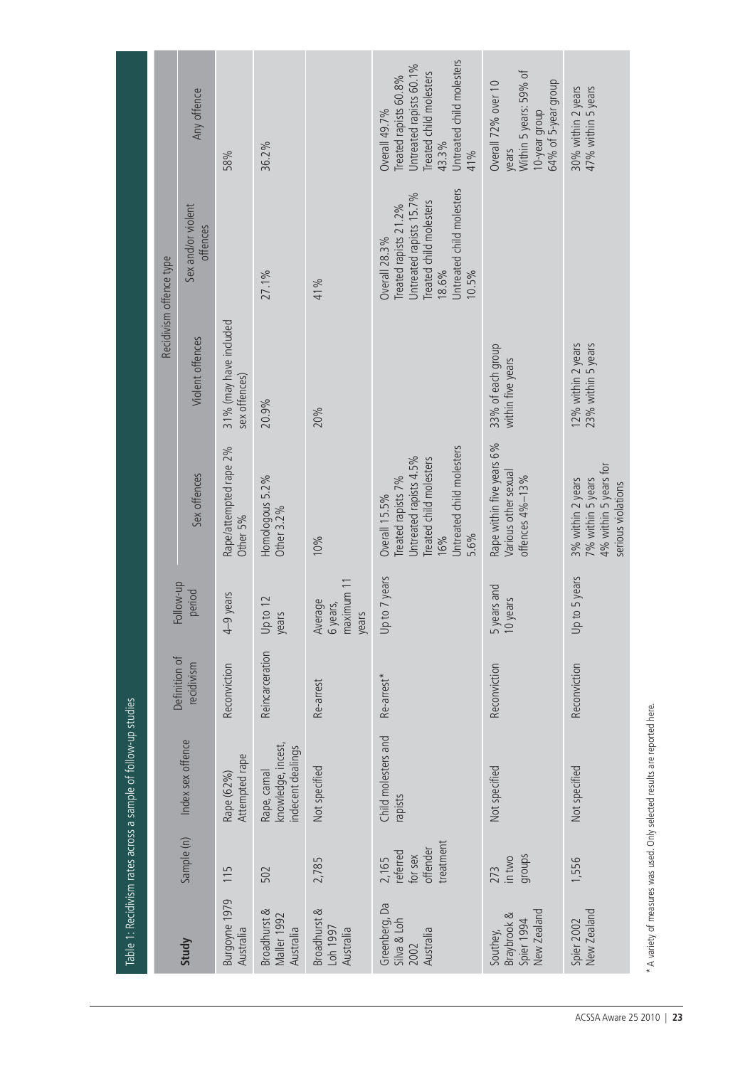|                                                      |                                                       | Table 1: Recidivism rates across a sample of follow-up studies |                 |                                            |                                                                                                                                      |                                          |                                                                                                                                                           |                                                                                                                                                  |
|------------------------------------------------------|-------------------------------------------------------|----------------------------------------------------------------|-----------------|--------------------------------------------|--------------------------------------------------------------------------------------------------------------------------------------|------------------------------------------|-----------------------------------------------------------------------------------------------------------------------------------------------------------|--------------------------------------------------------------------------------------------------------------------------------------------------|
|                                                      |                                                       |                                                                | Definition of   |                                            |                                                                                                                                      | Recidivism offence type                  |                                                                                                                                                           |                                                                                                                                                  |
| Study                                                | Sample (n)                                            | Index sex offence                                              | recidivism      | Follow-up<br>period                        | Sex offences                                                                                                                         | Violent offences                         | Sex and/or violent<br>offences                                                                                                                            | Any offence                                                                                                                                      |
| Burgoyne 1979<br>Australia                           | 115                                                   | Attempted rape<br>Rape (62%)                                   | Reconviction    | years<br>$4 - 9$                           | Rape/attempted rape 2%<br>Other 5%                                                                                                   | 31% (may have included<br>sex offences)  |                                                                                                                                                           | 58%                                                                                                                                              |
| <b>Broadhurst &amp;</b><br>Maller 1992<br>Australia  | 502                                                   | knowledge, incest,<br>ndecent dealings<br>Rape, carnal         | Reincarceration | Up to 12<br>years                          | Homologous 5.2%<br>Other 3.2%                                                                                                        | 20.9%                                    | 27.1%                                                                                                                                                     | 36.2%                                                                                                                                            |
| <b>Broadhurst &amp;</b><br>Loh 1997<br>Australia     | 2,785                                                 | Not specified                                                  | Re-arrest       | maximum 11<br>Average<br>6 years,<br>years | 10%                                                                                                                                  | 20%                                      | 41%                                                                                                                                                       |                                                                                                                                                  |
| Greenberg, Da<br>Silva & Loh<br>Australia<br>2002    | treatment<br>offender<br>referred<br>for sex<br>2,165 | Child molesters and<br>rapists                                 | Re-arrest*      | to 7 years<br>$\overline{p}$               | Untreated child molesters<br>Untreated rapists 4.5%<br>Treated child molesters<br>Treated rapists 7%<br>Overall 15.5%<br>5.6%<br>16% |                                          | Untreated child molesters<br>Untreated rapists 15.7%<br><b>Treated</b> child molesters<br>Treated rapists 21.2%<br><b>Overall 28.3%</b><br>18.6%<br>10.5% | Untreated child molesters<br>Untreated rapists 60.1%<br>Treated child molesters<br>Treated rapists 60.8%<br><b>Overall 49.7%</b><br>43.3%<br>41% |
| New Zealand<br>Braybrook &<br>Spier 1994<br>Southey, | groups<br>in two<br>273                               | Not specified                                                  | Reconviction    | 5 years and<br>10 years                    | Rape within five years 6%<br>Various other sexual<br>offences 4%-13%                                                                 | 33% of each group<br>within five years   |                                                                                                                                                           | Within 5 years: 59% of<br>10-year group<br>64% of 5-year group<br>Overall 72% over 10<br>vears                                                   |
| New Zealand<br>Spier 2002                            | 1,556                                                 | Not specified                                                  | Reconviction    | to 5 years<br>$Up$ t                       | 4% within 5 years for<br>3% within 2 years<br>7% within 5 years<br>serious violations                                                | 12% within 2 years<br>23% within 5 years |                                                                                                                                                           | 47% within 5 years<br>30% within 2 years                                                                                                         |

\* A variety of measures was used. Only selected results are reported here. \* A variety of measures was used. Only selected results are reported here.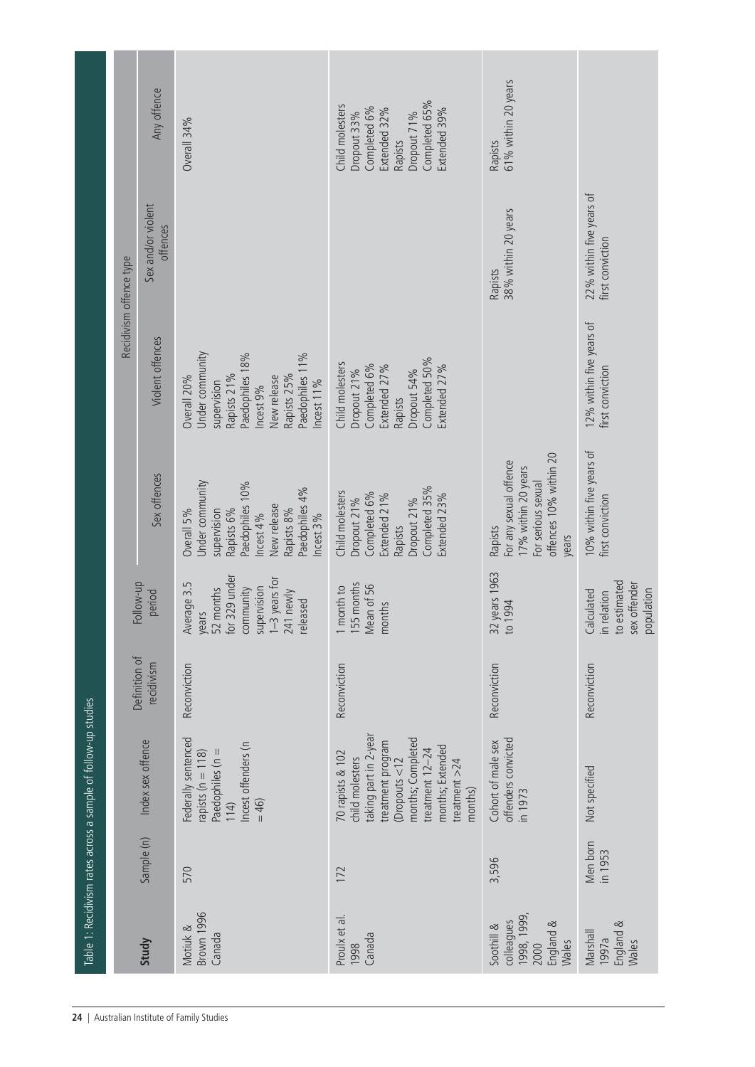|                                                                       |                     | Table 1: Recidivism rates across a sample of follow-up studies                                                                                                                                     |                             |                                                                                                                            |                                                                                                                                                        |                                                                                                                                                           |                                              |                                                                                                                           |
|-----------------------------------------------------------------------|---------------------|----------------------------------------------------------------------------------------------------------------------------------------------------------------------------------------------------|-----------------------------|----------------------------------------------------------------------------------------------------------------------------|--------------------------------------------------------------------------------------------------------------------------------------------------------|-----------------------------------------------------------------------------------------------------------------------------------------------------------|----------------------------------------------|---------------------------------------------------------------------------------------------------------------------------|
|                                                                       |                     |                                                                                                                                                                                                    |                             |                                                                                                                            |                                                                                                                                                        |                                                                                                                                                           | Recidivism offence type                      |                                                                                                                           |
| Study                                                                 | Sample (n)          | Index sex offence                                                                                                                                                                                  | Definition of<br>recidivism | Follow-up<br>period                                                                                                        | Sex offences                                                                                                                                           | Violent offences                                                                                                                                          | Sex and/or violent<br>offences               | Any offence                                                                                                               |
| <b>Brown 1996</b><br>Motiuk &<br>Canada                               | 570                 | Federally sentenced<br>Incest offenders (n<br>Paedophiles (n = $114$ )<br>rapists ( $n = 118$ )<br>$= 46$                                                                                          | Reconviction                | for 329 under<br>$1-3$ years for<br>241 newly<br>Average 3.5<br>supervision<br>community<br>years<br>52 months<br>released | Under community<br>Paedophiles 10%<br>Paedophiles 4%<br>New release<br>Rapists 8%<br>Overall 5%<br>Rapists 6%<br>supervision<br>Incest 4%<br>Incest 3% | Under community<br>Paedophiles 18%<br>Paedophiles 11%<br>Rapists 21%<br>Rapists 25%<br>Overall 20%<br>New release<br>supervision<br>ncest 11%<br>ncest 9% |                                              | Overall 34%                                                                                                               |
| Proulx et al.<br>Canada<br>1998                                       | 172                 | taking part in 2-year<br>months; Completed<br>treatment program<br>months; Extended<br>treatment 12-24<br>70 rapists & 102<br>child molesters<br>$($ Dropouts < $12$<br>treatment $>24$<br>months) | Reconviction                | 155 months<br>Mean of 56<br>1 month to<br>months                                                                           | Completed 35%<br>Child molesters<br>Completed 6%<br>Extended 21%<br>Extended 23%<br>Dropout 21%<br>Dropout 21%<br>Rapists                              | Completed 50%<br>Child molesters<br>Completed 6%<br>Extended 27%<br>Extended 27%<br>Dropout 21%<br>Dropout 54%<br>Rapists                                 |                                              | Completed 65%<br>Child molesters<br>Completed 6%<br>Extended 32%<br>Extended 39%<br>Dropout 33%<br>Dropout 71%<br>Rapists |
| 1998, 1999,<br>colleagues<br>England &<br>Soothill &<br>Wales<br>2000 | 3,596               | offenders convicted<br>Cohort of male sex<br>in 1973                                                                                                                                               | Reconviction                | 32 years 1963<br>1994<br>$\frac{1}{2}$                                                                                     | offences 10% within 20<br>For any sexual offence<br>17% within 20 years<br>For serious sexual<br>Rapists<br>years                                      |                                                                                                                                                           | 38% within 20 years<br>Rapists               | 61% within 20 years<br>Rapists                                                                                            |
| England &<br>Marshall<br>1997a<br>Wales                               | Men born<br>in 1953 | Not specified                                                                                                                                                                                      | Reconviction                | to estimated<br>sex offender<br>population<br>in relation<br>Calculated                                                    | 10% within five years of<br>first conviction                                                                                                           | 12% within five years of<br>first conviction                                                                                                              | 22% within five years of<br>first conviction |                                                                                                                           |